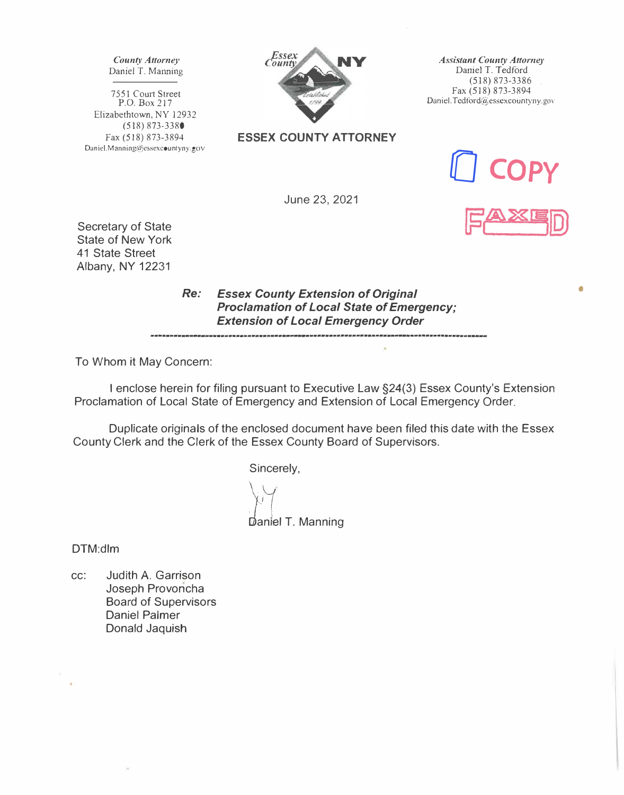*County Attorney*  Daniel T. Manning

7551 Court Street P.O. Box 217 Elizabethtown, NY 12932 (518) 873-3380 fax (518) 873-3894 Daniel.Manning@essexcountyny.gov



**ESSEX COUNTY ATTORNEY** 

*Assistant County Attorney* Daniel T. Tedford (518) 873-3386 Fax (518) 873-3894 Daniel. Tedford@essexcountyny.gov



•

June 23, 2021

Secretary of State State of New York 41 State Street Albany, NY 12231

> *Re: Essex County Extension of Original Proclamation of Local State of Emergency; Extension of Local Emergency Order*

To Whom it May Concern:

I enclose herein for filing pursuant to Executive Law §24(3) Essex County's Extension Proclamation of Local State of Emergency and Extension of Local Emergency Order.

Duplicate originals of the enclosed document have been filed this date with the Essex County Clerk and the Clerk of the Essex County Board of Supervisors.

Sincerely,

 $\int \frac{1}{2}$ ' *'!s.\_;'1* <sup>i</sup> Daniel T. Manning

DTM:dlm

cc: Judith A. Garrison Joseph Provoricha Board of Supervisors Daniel Palmer Donald Jaquish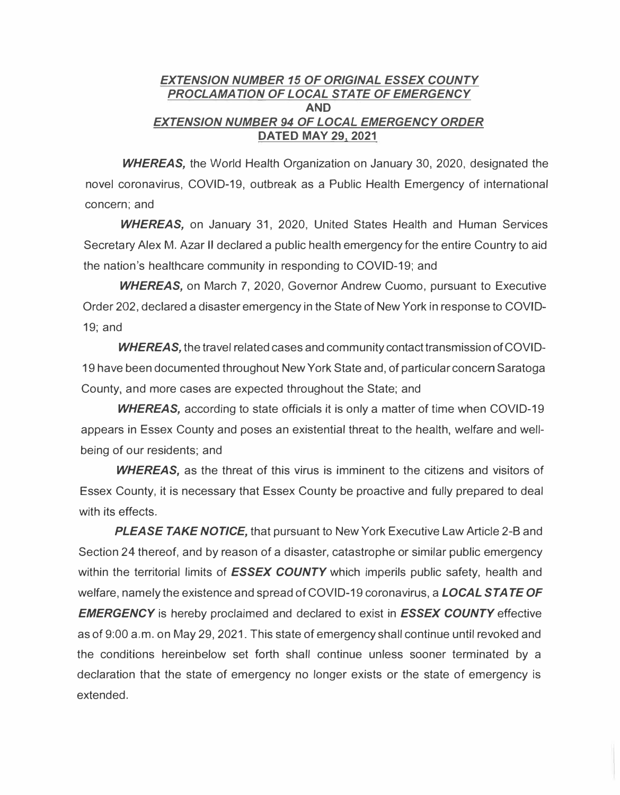## *EXTENSION NUMBER 15 OF ORIGINAL ESSEX COUNTY PROCLAMA TJON OF LOCAL STA TE OF EMERGENCY*  **AND**  *EXTENSION NUMBER 94 OF LOCAL EMERGENCY ORDER*  **DATED MAY 29, 2021**

*WHEREAS,* the World Health Organization on January 30, 2020, designated the novel coronavirus, COVID-19, outbreak as a Public Health Emergency of international concern; and

*WHEREAS,* on January 31, 2020, United States Health and Human Services Secretary Alex M. Azar II declared a public health emergency for the entire Country to aid the nation's healthcare community in responding to COVID-19; and

*WHEREAS,* on March 7, 2020, Governor Andrew Cuomo, pursuant to Executive Order 202, declared a disaster emergency in the State of New York in response to COVID-19; and

**WHEREAS,** the travel related cases and community contact transmission of COVID-19 have been documented throughout New York State and, of particular concern Saratoga County, and more cases are expected throughout the State; and

*WHEREAS,* according to state officials it is only a matter of time when COVID-19 appears in Essex County and poses an existential threat to the health, welfare and wellbeing of our residents; and

*WHEREAS,* as the threat of this virus is imminent to the citizens and visitors of Essex County, it is necessary that Essex County be proactive and fully prepared to deal with its effects.

*PLEASE TAKE NOTICE,* that pursuant to New York Executive Law Article 2-8 and Section 24 thereof, and by reason of a disaster, catastrophe or similar public emergency within the territorial limits of *ESSEX COUNTY* which imperils public safety, health and welfare, namely the existence and spread of COVID-19 coronavirus, a *LOCAL STATE OF EMERGENCY* is hereby proclaimed and declared to exist in *ESSEX COUNTY* effective as of 9:00 a.m. on May 29, 2021. This state of emergency shall continue until revoked and the conditions hereinbelow set forth shall continue unless sooner terminated by a declaration that the state of emergency no longer exists or the state of emergency is extended.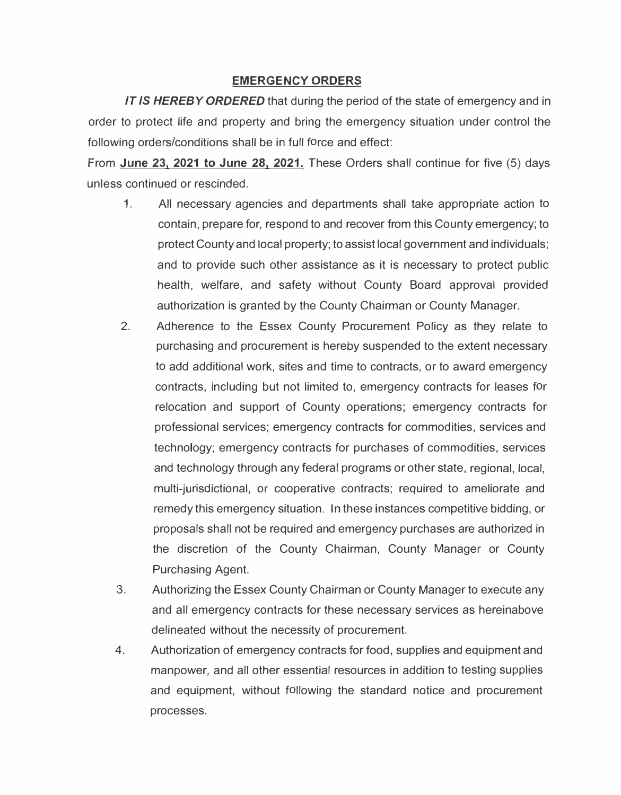## **EMERGENCY ORDERS**

*IT IS HEREBY ORDERED* that during the period of the state of emergency and in order to protect life and property and bring the emergency situation under control the following orders/conditions shall be in full force and effect:

From **June 23, 2021 to June 28, 2021.** These Orders shall continue for five (5) days unless continued or rescinded.

- 1. All necessary agencies and departments shall take appropriate action to contain, prepare for, respond to and recover from this County emergency; to protect County and local property; to assist local government and individuals; and to provide such other assistance as it is necessary to protect public health, welfare, and safety without County Board approval provided authorization is granted by the County Chairman or County Manager.
- 2. Adherence to the Essex County Procurement Policy as they relate to purchasing and procurement is hereby suspended to the extent necessary to add additional work, sites and time to contracts, or to award emergency contracts, including but not limited to, emergency contracts for leases for relocation and support of County operations; emergency contracts for professional services; emergency contracts for commodities, services and technology; emergency contracts for purchases of commodities, services and technology through any federal programs or other state, regional, local, multi-jurisdictional, or cooperative contracts; required to ameliorate and remedy this emergency situation. In these instances competitive bidding, or proposals shall not be required and emergency purchases are authorized in the discretion of the County Chairman, County Manager or County Purchasing Agent.
- 3. Authorizing the Essex County Chairman or County Manager to execute any and all emergency contracts for these necessary services as hereinabove delineated without the necessity of procurement.
- 4. Authorization of emergency contracts for food, supplies and equipment and manpower, and all other essential resources in addition to testing supplies and equipment, without following the standard notice and procurement processes.